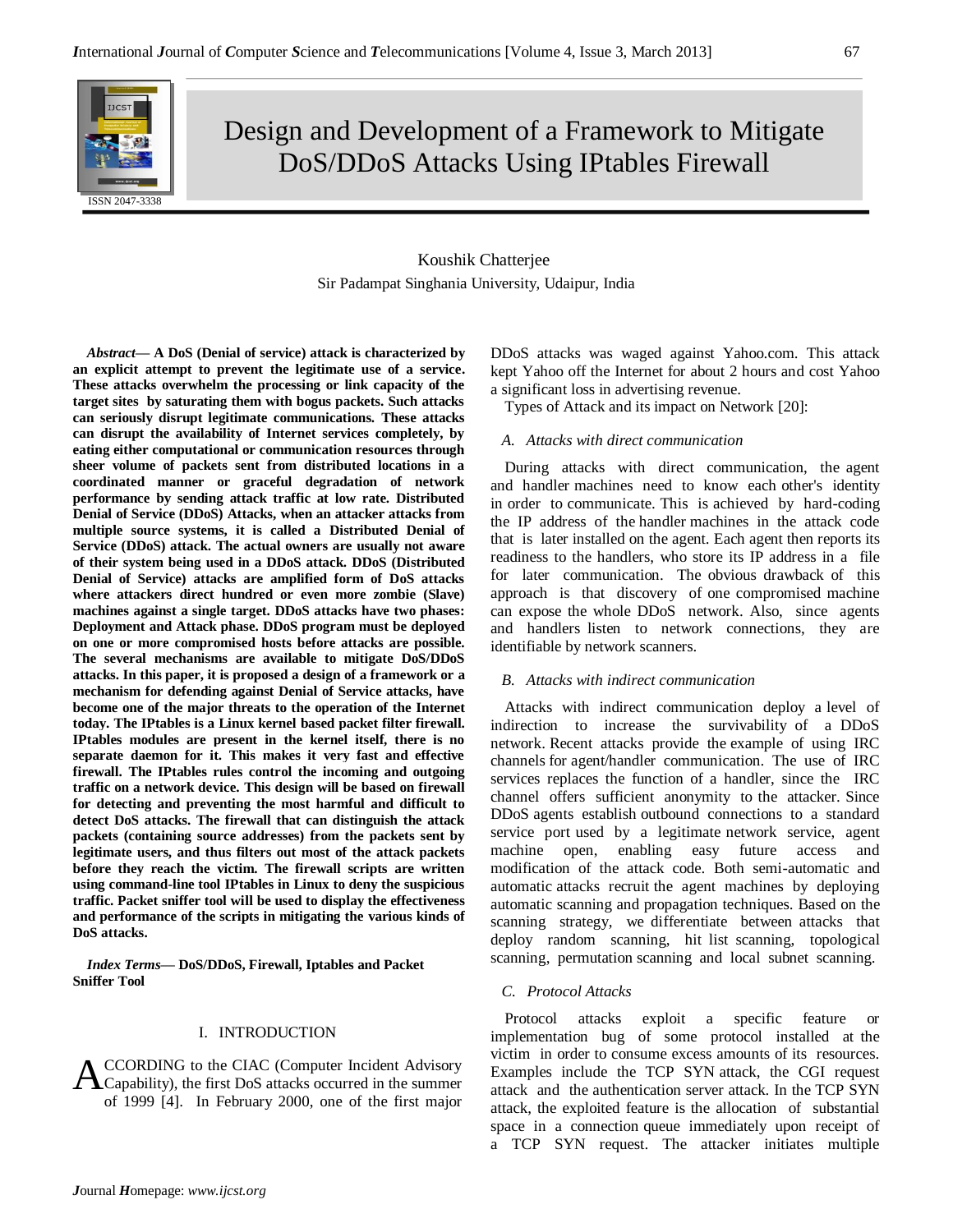# Design and Development of a Framework to Mitigate DoS/DDoS Attacks Using IPtables Firewall

# Koushik Chatterjee Sir Padampat Singhania University, Udaipur, India

*Abstract***— A DoS (Denial of service) attack is characterized by an explicit attempt to prevent the legitimate use of a service. These attacks overwhelm the processing or link capacity of the target sites by saturating them with bogus packets. Such attacks can seriously disrupt legitimate communications. These attacks can disrupt the availability of Internet services completely, by eating either computational or communication resources through sheer volume of packets sent from distributed locations in a coordinated manner or graceful degradation of network performance by sending attack traffic at low rate. Distributed Denial of Service (DDoS) Attacks, when an attacker attacks from multiple source systems, it is called a Distributed Denial of Service (DDoS) attack. The actual owners are usually not aware of their system being used in a DDoS attack. DDoS (Distributed Denial of Service) attacks are amplified form of DoS attacks where attackers direct hundred or even more zombie (Slave) machines against a single target. DDoS attacks have two phases: Deployment and Attack phase. DDoS program must be deployed on one or more compromised hosts before attacks are possible. The several mechanisms are available to mitigate DoS/DDoS attacks. In this paper, it is proposed a design of a framework or a mechanism for defending against Denial of Service attacks, have become one of the major threats to the operation of the Internet today. The IPtables is a Linux kernel based packet filter firewall. IPtables modules are present in the kernel itself, there is no separate daemon for it. This makes it very fast and effective firewall. The IPtables rules control the incoming and outgoing traffic on a network device. This design will be based on firewall for detecting and preventing the most harmful and difficult to detect DoS attacks. The firewall that can distinguish the attack packets (containing source addresses) from the packets sent by legitimate users, and thus filters out most of the attack packets before they reach the victim. The firewall scripts are written using command-line tool IPtables in Linux to deny the suspicious traffic. Packet sniffer tool will be used to display the effectiveness and performance of the scripts in mitigating the various kinds of DoS attacks.** 

*Index Terms***— DoS/DDoS, Firewall, Iptables and Packet Sniffer Tool**

#### I. INTRODUCTION

CCORDING to the CIAC (Computer Incident Advisory ACCORDING to the CIAC (Computer Incident Advisory<br>Capability), the first DoS attacks occurred in the summer of 1999 [4]. In February 2000, one of the first major

DDoS attacks was waged against Yahoo.com. This attack kept Yahoo off the Internet for about 2 hours and cost Yahoo a significant loss in advertising revenue.

Types of Attack and its impact on Network [20]:

#### *A. Attacks with direct communication*

During attacks with direct communication, the agent and handler machines need to know each other's identity in order to communicate. This is achieved by hard-coding the IP address of the handler machines in the attack code that is later installed on the agent. Each agent then reports its readiness to the handlers, who store its IP address in a file for later communication. The obvious drawback of this approach is that discovery of one compromised machine can expose the whole DDoS network. Also, since agents and handlers listen to network connections, they are identifiable by network scanners.

#### *B. Attacks with indirect communication*

Attacks with indirect communication deploy a level of indirection to increase the survivability of a DDoS network. Recent attacks provide the example of using IRC channels for agent/handler communication. The use of IRC services replaces the function of a handler, since the IRC channel offers sufficient anonymity to the attacker. Since DDoS agents establish outbound connections to a standard service port used by a legitimate network service, agent machine open, enabling easy future access and modification of the attack code. Both semi-automatic and automatic attacks recruit the agent machines by deploying automatic scanning and propagation techniques. Based on the scanning strategy, we differentiate between attacks that deploy random scanning, hit list scanning, topological scanning, permutation scanning and local subnet scanning.

#### *C. Protocol Attacks*

Protocol attacks exploit a specific feature or implementation bug of some protocol installed at the victim in order to consume excess amounts of its resources. Examples include the TCP SYN attack, the CGI request attack and the authentication server attack. In the TCP SYN attack, the exploited feature is the allocation of substantial space in a connection queue immediately upon receipt of a TCP SYN request. The attacker initiates multiple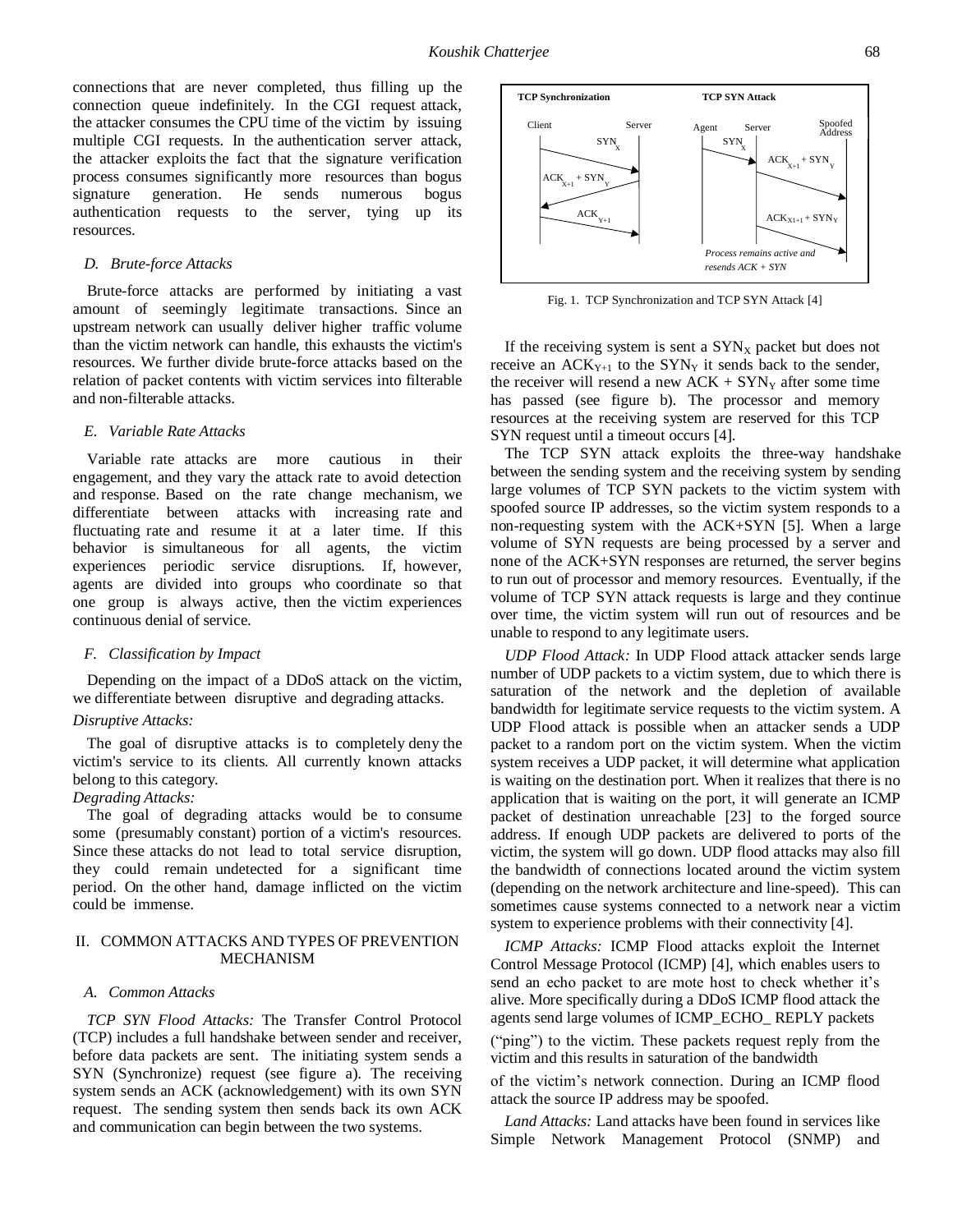connections that are never completed, thus filling up the connection queue indefinitely. In the CGI request attack, the attacker consumes the CPU time of the victim by issuing multiple CGI requests. In the authentication server attack, the attacker exploits the fact that the signature verification process consumes significantly more resources than bogus signature generation. He sends numerous bogus authentication requests to the server, tying up its resources.

#### *D. Brute-force Attacks*

Brute-force attacks are performed by initiating a vast amount of seemingly legitimate transactions. Since an upstream network can usually deliver higher traffic volume than the victim network can handle, this exhausts the victim's resources. We further divide brute-force attacks based on the relation of packet contents with victim services into filterable and non-filterable attacks.

#### *E. Variable Rate Attacks*

Variable rate attacks are more cautious in their engagement, and they vary the attack rate to avoid detection and response. Based on the rate change mechanism, we differentiate between attacks with increasing rate and fluctuating rate and resume it at a later time. If this behavior is simultaneous for all agents, the victim experiences periodic service disruptions. If, however, agents are divided into groups who coordinate so that one group is always active, then the victim experiences continuous denial of service.

#### *F. Classification by Impact*

Depending on the impact of a DDoS attack on the victim, we differentiate between disruptive and degrading attacks.

#### *Disruptive Attacks:*

The goal of disruptive attacks is to completely deny the victim's service to its clients. All currently known attacks belong to this category.

# *Degrading Attacks:*

The goal of degrading attacks would be to consume some (presumably constant) portion of a victim's resources. Since these attacks do not lead to total service disruption, they could remain undetected for a significant time period. On the other hand, damage inflicted on the victim could be immense.

# II. COMMON ATTACKS AND TYPES OF PREVENTION MECHANISM

#### *A. Common Attacks*

*TCP SYN Flood Attacks:* The Transfer Control Protocol (TCP) includes a full handshake between sender and receiver, before data packets are sent. The initiating system sends a SYN (Synchronize) request (see figure a). The receiving system sends an ACK (acknowledgement) with its own SYN request. The sending system then sends back its own ACK and communication can begin between the two systems.



Fig. 1. TCP Synchronization and TCP SYN Attack [4]

If the receiving system is sent a  $SYN_X$  packet but does not receive an  $ACK_{Y+1}$  to the SYN<sub>Y</sub> it sends back to the sender, the receiver will resend a new  $ACK + SYN<sub>Y</sub>$  after some time has passed (see figure b). The processor and memory resources at the receiving system are reserved for this TCP SYN request until a timeout occurs [4].

The TCP SYN attack exploits the three-way handshake between the sending system and the receiving system by sending large volumes of TCP SYN packets to the victim system with spoofed source IP addresses, so the victim system responds to a non-requesting system with the ACK+SYN [5]. When a large volume of SYN requests are being processed by a server and none of the ACK+SYN responses are returned, the server begins to run out of processor and memory resources. Eventually, if the volume of TCP SYN attack requests is large and they continue over time, the victim system will run out of resources and be unable to respond to any legitimate users.

*UDP Flood Attack:* In UDP Flood attack attacker sends large number of UDP packets to a victim system, due to which there is saturation of the network and the depletion of available bandwidth for legitimate service requests to the victim system. A UDP Flood attack is possible when an attacker sends a UDP packet to a random port on the victim system. When the victim system receives a UDP packet, it will determine what application is waiting on the destination port. When it realizes that there is no application that is waiting on the port, it will generate an ICMP packet of destination unreachable [23] to the forged source address. If enough UDP packets are delivered to ports of the victim, the system will go down. UDP flood attacks may also fill the bandwidth of connections located around the victim system (depending on the network architecture and line-speed). This can sometimes cause systems connected to a network near a victim system to experience problems with their connectivity [4]. For stress, and the set of the set of the set of the set of the set of the set of the set of the set of the set of the set of the set of the set of the set of the set of the set of the set of the set of the set of the set

*ICMP Attacks:* ICMP Flood attacks exploit the Internet Control Message Protocol (ICMP) [4], which enables users to send an echo packet to are mote host to check whether it's alive. More specifically during a DDoS ICMP flood attack the agents send large volumes of ICMP\_ECHO\_ REPLY packets

("ping") to the victim. These packets request reply from the victim and this results in saturation of the bandwidth

of the victim's network connection. During an ICMP flood attack the source IP address may be spoofed.

*Land Attacks:* Land attacks have been found in services like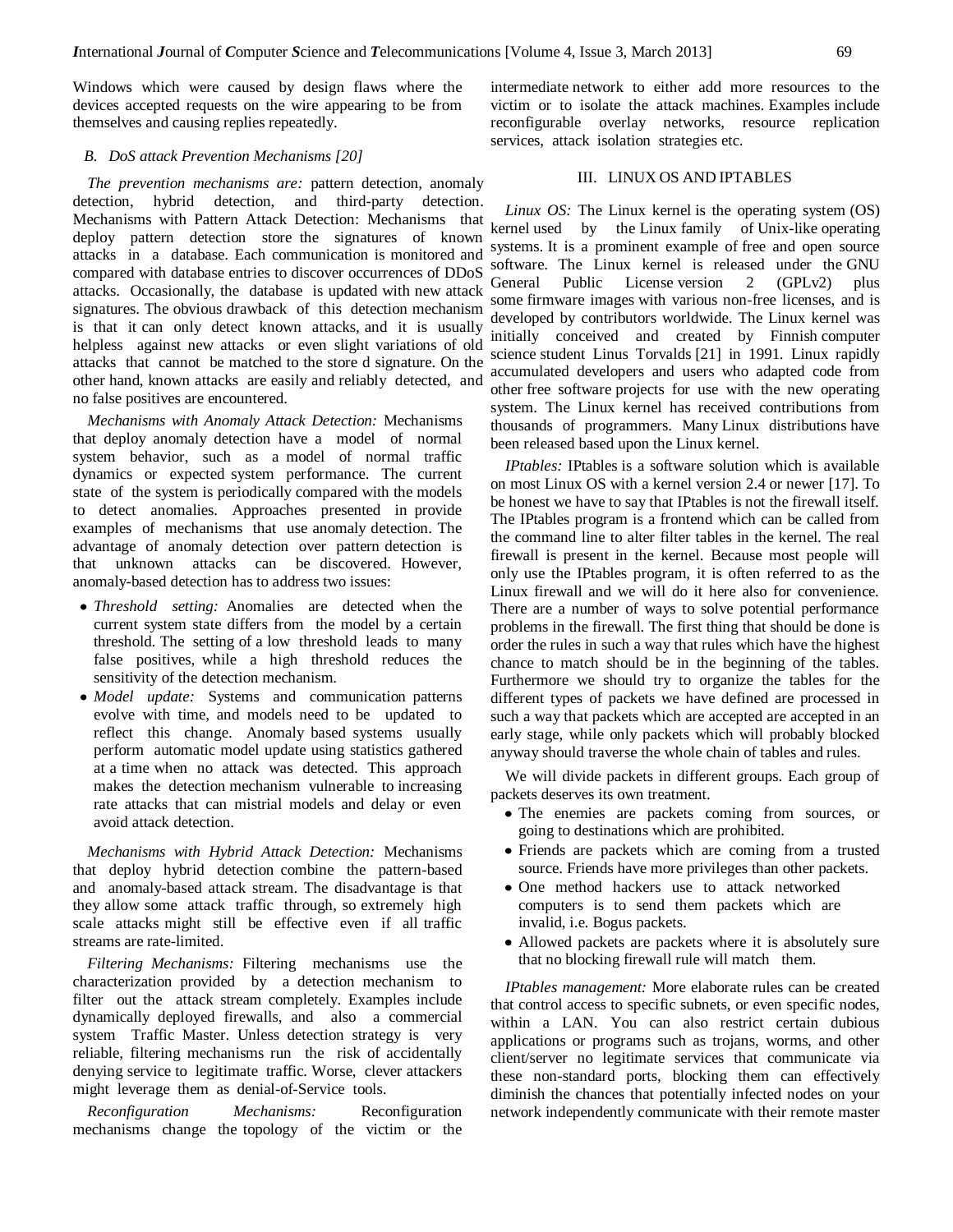Windows which were caused by design flaws where the devices accepted requests on the wire appearing to be from themselves and causing replies repeatedly.

#### *B. DoS attack Prevention Mechanisms [20]*

*The prevention mechanisms are:* pattern detection, anomaly detection, hybrid detection, and third-party detection. Mechanisms with Pattern Attack Detection: Mechanisms that deploy pattern detection store the signatures of known attacks in a database. Each communication is monitored and compared with database entries to discover occurrences of DDoS attacks. Occasionally, the database is updated with new attack signatures. The obvious drawback of this detection mechanism is that it can only detect known attacks, and it is usually helpless against new attacks or even slight variations of old attacks that cannot be matched to the store d signature. On the other hand, known attacks are easily and reliably detected, and no false positives are encountered.

*Mechanisms with Anomaly Attack Detection:* Mechanisms that deploy anomaly detection have a model of normal system behavior, such as a model of normal traffic dynamics or expected system performance. The current state of the system is periodically compared with the models to detect anomalies. Approaches presented in provide examples of mechanisms that use anomaly detection. The advantage of anomaly detection over pattern detection is that unknown attacks can be discovered. However, anomaly-based detection has to address two issues:

- *Threshold setting:* Anomalies are detected when the current system state differs from the model by a certain threshold. The setting of a low threshold leads to many false positives, while a high threshold reduces the sensitivity of the detection mechanism.
- *Model update:* Systems and communication patterns evolve with time, and models need to be updated to reflect this change. Anomaly based systems usually perform automatic model update using statistics gathered at a time when no attack was detected. This approach makes the detection mechanism vulnerable to increasing rate attacks that can mistrial models and delay or even avoid attack detection.

*Mechanisms with Hybrid Attack Detection:* Mechanisms that deploy hybrid detection combine the pattern-based and anomaly-based attack stream. The disadvantage is that they allow some attack traffic through, so extremely high scale attacks might still be effective even if all traffic streams are rate-limited.

*Filtering Mechanisms:* Filtering mechanisms use the characterization provided by a detection mechanism to filter out the attack stream completely. Examples include dynamically deployed firewalls, and also a commercial system Traffic Master. Unless detection strategy is very reliable, filtering mechanisms run the risk of accidentally denying service to legitimate traffic. Worse, clever attackers might leverage them as denial-of-Service tools.

*Reconfiguration Mechanisms:* Reconfiguration mechanisms change the topology of the victim or the

intermediate network to either add more resources to the victim or to isolate the attack machines. Examples include reconfigurable overlay networks, resource replication services, attack isolation strategies etc.

# III. LINUX OS AND IPTABLES

*Linux OS:* The Linux kernel is the operating system (OS) kernel used by the Linux family of Unix-like operating systems. It is a prominent example of free and open source software. The Linux kernel is released under the GNU General Public License version 2 (GPLv2) plus some firmware images with various non-free licenses, and is developed by contributors worldwide. The Linux kernel was initially conceived and created by Finnish computer science student Linus Torvalds [21] in 1991. Linux rapidly accumulated developers and users who adapted code from other free software projects for use with the new operating system. The Linux kernel has received contributions from thousands of programmers. Many Linux distributions have been released based upon the Linux kernel.

*IPtables:* IPtables is a software solution which is available on most Linux OS with a kernel version 2.4 or newer [17]. To be honest we have to say that IPtables is not the firewall itself. The IPtables program is a frontend which can be called from the command line to alter filter tables in the kernel. The real firewall is present in the kernel. Because most people will only use the IPtables program, it is often referred to as the Linux firewall and we will do it here also for convenience. There are a number of ways to solve potential performance problems in the firewall. The first thing that should be done is order the rules in such a way that rules which have the highest chance to match should be in the beginning of the tables. Furthermore we should try to organize the tables for the different types of packets we have defined are processed in such a way that packets which are accepted are accepted in an early stage, while only packets which will probably blocked anyway should traverse the whole chain of tables and rules.

We will divide packets in different groups. Each group of packets deserves its own treatment.

- The enemies are packets coming from sources, or going to destinations which are prohibited.
- Friends are packets which are coming from a trusted source. Friends have more privileges than other packets.
- One method hackers use to attack networked computers is to send them packets which are invalid, i.e. Bogus packets.
- Allowed packets are packets where it is absolutely sure that no blocking firewall rule will match them.

*IPtables management:* More elaborate rules can be created that control access to specific subnets, or even specific nodes, within a LAN. You can also restrict certain dubious applications or programs such as trojans, worms, and other client/server no legitimate services that communicate via these non-standard ports, blocking them can effectively diminish the chances that potentially infected nodes on your network independently communicate with their remote master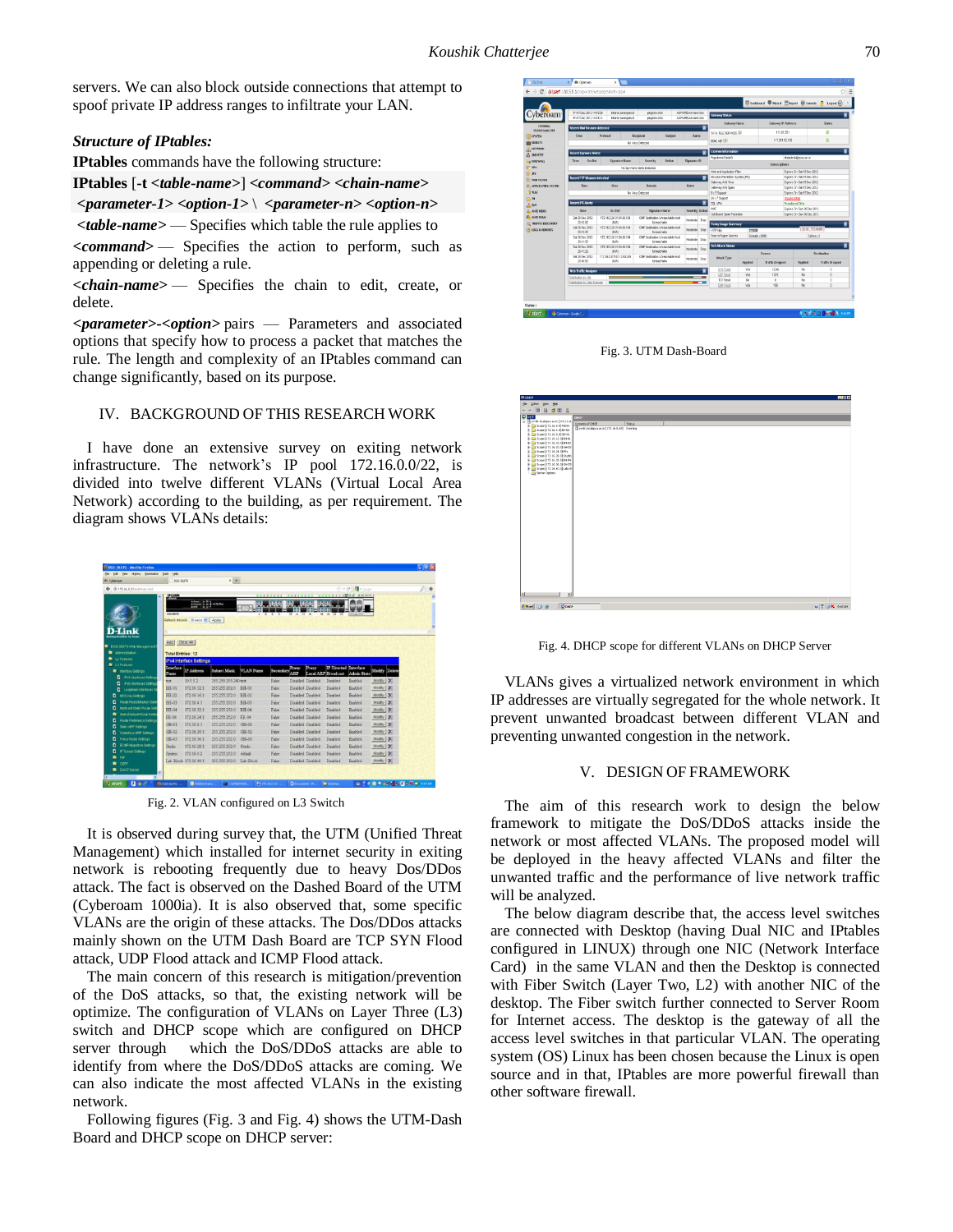servers. We can also block outside connections that attempt to spoof private IP address ranges to infiltrate your LAN.

#### *Structure of IPtables:*

**IPtables** commands have the following structure:

**IPtables** [**-t** *<table-name>*] *<command> <chain-name>*

*<parameter-1> <option-1>* \ *<parameter-n> <option-n>*

*<table-name>* — Specifies which table the rule applies to

*<command>* — Specifies the action to perform, such as appending or deleting a rule.

*<chain-name>* — Specifies the chain to edit, create, or delete.

*<parameter>-<option>* pairs — Parameters and associated options that specify how to process a packet that matches the rule. The length and complexity of an IPtables command can change significantly, based on its purpose.

#### IV. BACKGROUND OF THIS RESEARCH WORK

I have done an extensive survey on exiting network infrastructure. The network's IP pool 172.16.0.0/22, is divided into twelve different VLANs (Virtual Local Area Network) according to the building, as per requirement. The diagram shows VLANs details:

| $\times$ +<br>065-36276<br><b>By Cybersen</b><br><b>R</b><br>$\gamma$ = $\sigma$<br>@ 172.56.0.2 html man.html<br><b>D-Link</b><br>E illega<br>(NAS-METER<br>w<br>$\overline{1}$<br>u<br>w<br>×<br>٠<br>n<br>24<br>Refush Intensit 30 secs w Apply<br>Add   Clear At<br>COS-36270 Web Management<br><b>M</b> Admiration<br><b>Total Entries: 12</b><br>L2 Textures<br><b>IPv4 Interface Settings</b><br>$\approx$ 13 Features<br><b>IPDirected</b> Interface<br><b>Trexy</b><br><b>Interface</b><br>Prexy<br>IP Address<br><b>VLAN Name</b><br><b>Subnet Mask</b><br>Modify Delete<br>Secondary<br><b>R</b> Interface Settings<br>ARP<br><b>Admin State</b><br>Local ARP Breadcast<br><b>Name</b><br>o<br>Fy# Interfaces Setting<br>10.5.5.2<br>Disabled Disabled<br>Tamplad<br>Resident<br>Modily   X<br>255 255 255 240 test<br>False<br>test<br>п<br><b>Pv6 Interfaces Setting</b><br>172 16 12 1<br>255 255 252 0<br><b>Realtied</b><br>Modify X<br><b>BH-01</b><br>BH-01<br>Falce<br>Displand Displand<br>Disabled<br>D<br>Leophack Interfaces \$<br>255 255 252 0<br>$BH-02$<br>172 16 16 1<br>BH-02<br>Frien<br>Disabled Disabled<br>Midty   X<br>Darabled<br><b><i><u>Emabled</u></i></b><br>NDS10y Detings<br>Foute Redistribution Sett<br>255 255 252 0<br>B.H. 03<br>1721641<br>Midly X<br>BH.03<br>F <sub>ulce</sub><br>Dispbled Disabled<br><b>Titabled</b><br><b>Finabled</b><br><b>Inuticast Static Route Set</b><br>Modily   X<br>BH-04<br>172 16 32 1<br>255 255 252 0<br>BH-04<br>Dirabled<br>Faire<br>Disabled Disabled<br>Enabled.<br>Statistic Gelbert Police Setti<br>FR-04<br>172.16.24.1<br>255 255 252 0<br>FR-04<br>False<br>Dirabled<br><b>Finalpland</b><br>Modify   X<br>Disabled Disabled<br><b>Route Proference Settings</b><br>255 255 252 0<br>Modily X<br>(157.01<br>1721681<br>GH-01<br>F <sub>1</sub><br>Disabled Disabled<br>Disabled<br>REARING<br><b>State ARP Settings</b><br>255 255 252 8<br><b>GR-02</b><br>172 16 20 1<br>GH-02<br>Dirabled Dirabled<br>Dirabled<br>Modify X<br>Falce<br>English<br><b>Grabation ARP Debiton</b><br>255 255 252 0<br>GH-03<br>172 16 36 1<br>Policy Reale Settings<br>GH-03<br>False<br>Disabled Disabled<br>Dirabled<br>Frishhel<br>Modify X<br><b>ECMP Alzerithm Settings</b><br>172, 16, 28, 1<br>255 255 252 0<br>Falce<br>Disabled<br>Msdily X<br>Studio<br>Shadon<br>Disabled Disabled<br><b>English</b><br>P Tunnel Settings<br>1721602<br>255 255 252 0<br>Modify X<br>$B$ alice<br>Disabled Thurbled<br>Dirabled<br>Realdwid<br>default<br>System.<br>me<br>Modify X<br>Lab-Block, 172 16 40.1<br>255 255 252 0<br>Disabled Disabled<br>Disabled<br>Enabled<br>Lab-Block<br>Filip<br>coppe | Edit View Helary Backmarks | Help<br>Tods |  |  |  |  |  |
|---------------------------------------------------------------------------------------------------------------------------------------------------------------------------------------------------------------------------------------------------------------------------------------------------------------------------------------------------------------------------------------------------------------------------------------------------------------------------------------------------------------------------------------------------------------------------------------------------------------------------------------------------------------------------------------------------------------------------------------------------------------------------------------------------------------------------------------------------------------------------------------------------------------------------------------------------------------------------------------------------------------------------------------------------------------------------------------------------------------------------------------------------------------------------------------------------------------------------------------------------------------------------------------------------------------------------------------------------------------------------------------------------------------------------------------------------------------------------------------------------------------------------------------------------------------------------------------------------------------------------------------------------------------------------------------------------------------------------------------------------------------------------------------------------------------------------------------------------------------------------------------------------------------------------------------------------------------------------------------------------------------------------------------------------------------------------------------------------------------------------------------------------------------------------------------------------------------------------------------------------------------------------------------------------------------------------------------------------------------------------------------------------------------------------------------------------------------------------------------------------------------------------------------------------------------------------------------------------------------------------------------------------------------------------------|----------------------------|--------------|--|--|--|--|--|
|                                                                                                                                                                                                                                                                                                                                                                                                                                                                                                                                                                                                                                                                                                                                                                                                                                                                                                                                                                                                                                                                                                                                                                                                                                                                                                                                                                                                                                                                                                                                                                                                                                                                                                                                                                                                                                                                                                                                                                                                                                                                                                                                                                                                                                                                                                                                                                                                                                                                                                                                                                                                                                                                                 |                            |              |  |  |  |  |  |
|                                                                                                                                                                                                                                                                                                                                                                                                                                                                                                                                                                                                                                                                                                                                                                                                                                                                                                                                                                                                                                                                                                                                                                                                                                                                                                                                                                                                                                                                                                                                                                                                                                                                                                                                                                                                                                                                                                                                                                                                                                                                                                                                                                                                                                                                                                                                                                                                                                                                                                                                                                                                                                                                                 |                            |              |  |  |  |  |  |
|                                                                                                                                                                                                                                                                                                                                                                                                                                                                                                                                                                                                                                                                                                                                                                                                                                                                                                                                                                                                                                                                                                                                                                                                                                                                                                                                                                                                                                                                                                                                                                                                                                                                                                                                                                                                                                                                                                                                                                                                                                                                                                                                                                                                                                                                                                                                                                                                                                                                                                                                                                                                                                                                                 |                            |              |  |  |  |  |  |
|                                                                                                                                                                                                                                                                                                                                                                                                                                                                                                                                                                                                                                                                                                                                                                                                                                                                                                                                                                                                                                                                                                                                                                                                                                                                                                                                                                                                                                                                                                                                                                                                                                                                                                                                                                                                                                                                                                                                                                                                                                                                                                                                                                                                                                                                                                                                                                                                                                                                                                                                                                                                                                                                                 |                            |              |  |  |  |  |  |
|                                                                                                                                                                                                                                                                                                                                                                                                                                                                                                                                                                                                                                                                                                                                                                                                                                                                                                                                                                                                                                                                                                                                                                                                                                                                                                                                                                                                                                                                                                                                                                                                                                                                                                                                                                                                                                                                                                                                                                                                                                                                                                                                                                                                                                                                                                                                                                                                                                                                                                                                                                                                                                                                                 |                            |              |  |  |  |  |  |
|                                                                                                                                                                                                                                                                                                                                                                                                                                                                                                                                                                                                                                                                                                                                                                                                                                                                                                                                                                                                                                                                                                                                                                                                                                                                                                                                                                                                                                                                                                                                                                                                                                                                                                                                                                                                                                                                                                                                                                                                                                                                                                                                                                                                                                                                                                                                                                                                                                                                                                                                                                                                                                                                                 |                            |              |  |  |  |  |  |
|                                                                                                                                                                                                                                                                                                                                                                                                                                                                                                                                                                                                                                                                                                                                                                                                                                                                                                                                                                                                                                                                                                                                                                                                                                                                                                                                                                                                                                                                                                                                                                                                                                                                                                                                                                                                                                                                                                                                                                                                                                                                                                                                                                                                                                                                                                                                                                                                                                                                                                                                                                                                                                                                                 |                            |              |  |  |  |  |  |
|                                                                                                                                                                                                                                                                                                                                                                                                                                                                                                                                                                                                                                                                                                                                                                                                                                                                                                                                                                                                                                                                                                                                                                                                                                                                                                                                                                                                                                                                                                                                                                                                                                                                                                                                                                                                                                                                                                                                                                                                                                                                                                                                                                                                                                                                                                                                                                                                                                                                                                                                                                                                                                                                                 |                            |              |  |  |  |  |  |
|                                                                                                                                                                                                                                                                                                                                                                                                                                                                                                                                                                                                                                                                                                                                                                                                                                                                                                                                                                                                                                                                                                                                                                                                                                                                                                                                                                                                                                                                                                                                                                                                                                                                                                                                                                                                                                                                                                                                                                                                                                                                                                                                                                                                                                                                                                                                                                                                                                                                                                                                                                                                                                                                                 |                            |              |  |  |  |  |  |
|                                                                                                                                                                                                                                                                                                                                                                                                                                                                                                                                                                                                                                                                                                                                                                                                                                                                                                                                                                                                                                                                                                                                                                                                                                                                                                                                                                                                                                                                                                                                                                                                                                                                                                                                                                                                                                                                                                                                                                                                                                                                                                                                                                                                                                                                                                                                                                                                                                                                                                                                                                                                                                                                                 |                            |              |  |  |  |  |  |
|                                                                                                                                                                                                                                                                                                                                                                                                                                                                                                                                                                                                                                                                                                                                                                                                                                                                                                                                                                                                                                                                                                                                                                                                                                                                                                                                                                                                                                                                                                                                                                                                                                                                                                                                                                                                                                                                                                                                                                                                                                                                                                                                                                                                                                                                                                                                                                                                                                                                                                                                                                                                                                                                                 |                            |              |  |  |  |  |  |
|                                                                                                                                                                                                                                                                                                                                                                                                                                                                                                                                                                                                                                                                                                                                                                                                                                                                                                                                                                                                                                                                                                                                                                                                                                                                                                                                                                                                                                                                                                                                                                                                                                                                                                                                                                                                                                                                                                                                                                                                                                                                                                                                                                                                                                                                                                                                                                                                                                                                                                                                                                                                                                                                                 |                            |              |  |  |  |  |  |
|                                                                                                                                                                                                                                                                                                                                                                                                                                                                                                                                                                                                                                                                                                                                                                                                                                                                                                                                                                                                                                                                                                                                                                                                                                                                                                                                                                                                                                                                                                                                                                                                                                                                                                                                                                                                                                                                                                                                                                                                                                                                                                                                                                                                                                                                                                                                                                                                                                                                                                                                                                                                                                                                                 |                            |              |  |  |  |  |  |
|                                                                                                                                                                                                                                                                                                                                                                                                                                                                                                                                                                                                                                                                                                                                                                                                                                                                                                                                                                                                                                                                                                                                                                                                                                                                                                                                                                                                                                                                                                                                                                                                                                                                                                                                                                                                                                                                                                                                                                                                                                                                                                                                                                                                                                                                                                                                                                                                                                                                                                                                                                                                                                                                                 |                            |              |  |  |  |  |  |
|                                                                                                                                                                                                                                                                                                                                                                                                                                                                                                                                                                                                                                                                                                                                                                                                                                                                                                                                                                                                                                                                                                                                                                                                                                                                                                                                                                                                                                                                                                                                                                                                                                                                                                                                                                                                                                                                                                                                                                                                                                                                                                                                                                                                                                                                                                                                                                                                                                                                                                                                                                                                                                                                                 |                            |              |  |  |  |  |  |
|                                                                                                                                                                                                                                                                                                                                                                                                                                                                                                                                                                                                                                                                                                                                                                                                                                                                                                                                                                                                                                                                                                                                                                                                                                                                                                                                                                                                                                                                                                                                                                                                                                                                                                                                                                                                                                                                                                                                                                                                                                                                                                                                                                                                                                                                                                                                                                                                                                                                                                                                                                                                                                                                                 |                            |              |  |  |  |  |  |
|                                                                                                                                                                                                                                                                                                                                                                                                                                                                                                                                                                                                                                                                                                                                                                                                                                                                                                                                                                                                                                                                                                                                                                                                                                                                                                                                                                                                                                                                                                                                                                                                                                                                                                                                                                                                                                                                                                                                                                                                                                                                                                                                                                                                                                                                                                                                                                                                                                                                                                                                                                                                                                                                                 |                            |              |  |  |  |  |  |
|                                                                                                                                                                                                                                                                                                                                                                                                                                                                                                                                                                                                                                                                                                                                                                                                                                                                                                                                                                                                                                                                                                                                                                                                                                                                                                                                                                                                                                                                                                                                                                                                                                                                                                                                                                                                                                                                                                                                                                                                                                                                                                                                                                                                                                                                                                                                                                                                                                                                                                                                                                                                                                                                                 |                            |              |  |  |  |  |  |
|                                                                                                                                                                                                                                                                                                                                                                                                                                                                                                                                                                                                                                                                                                                                                                                                                                                                                                                                                                                                                                                                                                                                                                                                                                                                                                                                                                                                                                                                                                                                                                                                                                                                                                                                                                                                                                                                                                                                                                                                                                                                                                                                                                                                                                                                                                                                                                                                                                                                                                                                                                                                                                                                                 |                            |              |  |  |  |  |  |
|                                                                                                                                                                                                                                                                                                                                                                                                                                                                                                                                                                                                                                                                                                                                                                                                                                                                                                                                                                                                                                                                                                                                                                                                                                                                                                                                                                                                                                                                                                                                                                                                                                                                                                                                                                                                                                                                                                                                                                                                                                                                                                                                                                                                                                                                                                                                                                                                                                                                                                                                                                                                                                                                                 |                            |              |  |  |  |  |  |
|                                                                                                                                                                                                                                                                                                                                                                                                                                                                                                                                                                                                                                                                                                                                                                                                                                                                                                                                                                                                                                                                                                                                                                                                                                                                                                                                                                                                                                                                                                                                                                                                                                                                                                                                                                                                                                                                                                                                                                                                                                                                                                                                                                                                                                                                                                                                                                                                                                                                                                                                                                                                                                                                                 |                            |              |  |  |  |  |  |
|                                                                                                                                                                                                                                                                                                                                                                                                                                                                                                                                                                                                                                                                                                                                                                                                                                                                                                                                                                                                                                                                                                                                                                                                                                                                                                                                                                                                                                                                                                                                                                                                                                                                                                                                                                                                                                                                                                                                                                                                                                                                                                                                                                                                                                                                                                                                                                                                                                                                                                                                                                                                                                                                                 |                            |              |  |  |  |  |  |
|                                                                                                                                                                                                                                                                                                                                                                                                                                                                                                                                                                                                                                                                                                                                                                                                                                                                                                                                                                                                                                                                                                                                                                                                                                                                                                                                                                                                                                                                                                                                                                                                                                                                                                                                                                                                                                                                                                                                                                                                                                                                                                                                                                                                                                                                                                                                                                                                                                                                                                                                                                                                                                                                                 |                            |              |  |  |  |  |  |
|                                                                                                                                                                                                                                                                                                                                                                                                                                                                                                                                                                                                                                                                                                                                                                                                                                                                                                                                                                                                                                                                                                                                                                                                                                                                                                                                                                                                                                                                                                                                                                                                                                                                                                                                                                                                                                                                                                                                                                                                                                                                                                                                                                                                                                                                                                                                                                                                                                                                                                                                                                                                                                                                                 |                            |              |  |  |  |  |  |
|                                                                                                                                                                                                                                                                                                                                                                                                                                                                                                                                                                                                                                                                                                                                                                                                                                                                                                                                                                                                                                                                                                                                                                                                                                                                                                                                                                                                                                                                                                                                                                                                                                                                                                                                                                                                                                                                                                                                                                                                                                                                                                                                                                                                                                                                                                                                                                                                                                                                                                                                                                                                                                                                                 |                            |              |  |  |  |  |  |
|                                                                                                                                                                                                                                                                                                                                                                                                                                                                                                                                                                                                                                                                                                                                                                                                                                                                                                                                                                                                                                                                                                                                                                                                                                                                                                                                                                                                                                                                                                                                                                                                                                                                                                                                                                                                                                                                                                                                                                                                                                                                                                                                                                                                                                                                                                                                                                                                                                                                                                                                                                                                                                                                                 |                            |              |  |  |  |  |  |
|                                                                                                                                                                                                                                                                                                                                                                                                                                                                                                                                                                                                                                                                                                                                                                                                                                                                                                                                                                                                                                                                                                                                                                                                                                                                                                                                                                                                                                                                                                                                                                                                                                                                                                                                                                                                                                                                                                                                                                                                                                                                                                                                                                                                                                                                                                                                                                                                                                                                                                                                                                                                                                                                                 |                            |              |  |  |  |  |  |
|                                                                                                                                                                                                                                                                                                                                                                                                                                                                                                                                                                                                                                                                                                                                                                                                                                                                                                                                                                                                                                                                                                                                                                                                                                                                                                                                                                                                                                                                                                                                                                                                                                                                                                                                                                                                                                                                                                                                                                                                                                                                                                                                                                                                                                                                                                                                                                                                                                                                                                                                                                                                                                                                                 |                            |              |  |  |  |  |  |
|                                                                                                                                                                                                                                                                                                                                                                                                                                                                                                                                                                                                                                                                                                                                                                                                                                                                                                                                                                                                                                                                                                                                                                                                                                                                                                                                                                                                                                                                                                                                                                                                                                                                                                                                                                                                                                                                                                                                                                                                                                                                                                                                                                                                                                                                                                                                                                                                                                                                                                                                                                                                                                                                                 |                            |              |  |  |  |  |  |
| <b>DISCP Gener</b>                                                                                                                                                                                                                                                                                                                                                                                                                                                                                                                                                                                                                                                                                                                                                                                                                                                                                                                                                                                                                                                                                                                                                                                                                                                                                                                                                                                                                                                                                                                                                                                                                                                                                                                                                                                                                                                                                                                                                                                                                                                                                                                                                                                                                                                                                                                                                                                                                                                                                                                                                                                                                                                              |                            |              |  |  |  |  |  |

Fig. 2. VLAN configured on L3 Switch

It is observed during survey that, the UTM (Unified Threat Management) which installed for internet security in exiting network is rebooting frequently due to heavy Dos/DDos attack. The fact is observed on the Dashed Board of the UTM (Cyberoam 1000ia). It is also observed that, some specific VLANs are the origin of these attacks. The Dos/DDos attacks mainly shown on the UTM Dash Board are TCP SYN Flood attack, UDP Flood attack and ICMP Flood attack.

The main concern of this research is mitigation/prevention of the DoS attacks, so that, the existing network will be optimize. The configuration of VLANs on Layer Three (L3) switch and DHCP scope which are configured on DHCP server through which the DoS/DDoS attacks are able to identify from where the DoS/DDoS attacks are coming. We can also indicate the most affected VLANs in the existing network.

Following figures (Fig. 3 and Fig. 4) shows the UTM-Dash Board and DHCP scope on DHCP server:



Fig. 3. UTM Dash-Board



Fig. 4. DHCP scope for different VLANs on DHCP Server

VLANs gives a virtualized network environment in which IP addresses are virtually segregated for the whole network. It prevent unwanted broadcast between different VLAN and preventing unwanted congestion in the network.

#### V. DESIGN OF FRAMEWORK

The aim of this research work to design the below framework to mitigate the DoS/DDoS attacks inside the network or most affected VLANs. The proposed model will be deployed in the heavy affected VLANs and filter the unwanted traffic and the performance of live network traffic will be analyzed.

The below diagram describe that, the access level switches are connected with Desktop (having Dual NIC and IPtables configured in LINUX) through one NIC (Network Interface Card) in the same VLAN and then the Desktop is connected with Fiber Switch (Layer Two, L2) with another NIC of the desktop. The Fiber switch further connected to Server Room for Internet access. The desktop is the gateway of all the access level switches in that particular VLAN. The operating system (OS) Linux has been chosen because the Linux is open source and in that, IPtables are more powerful firewall than other software firewall.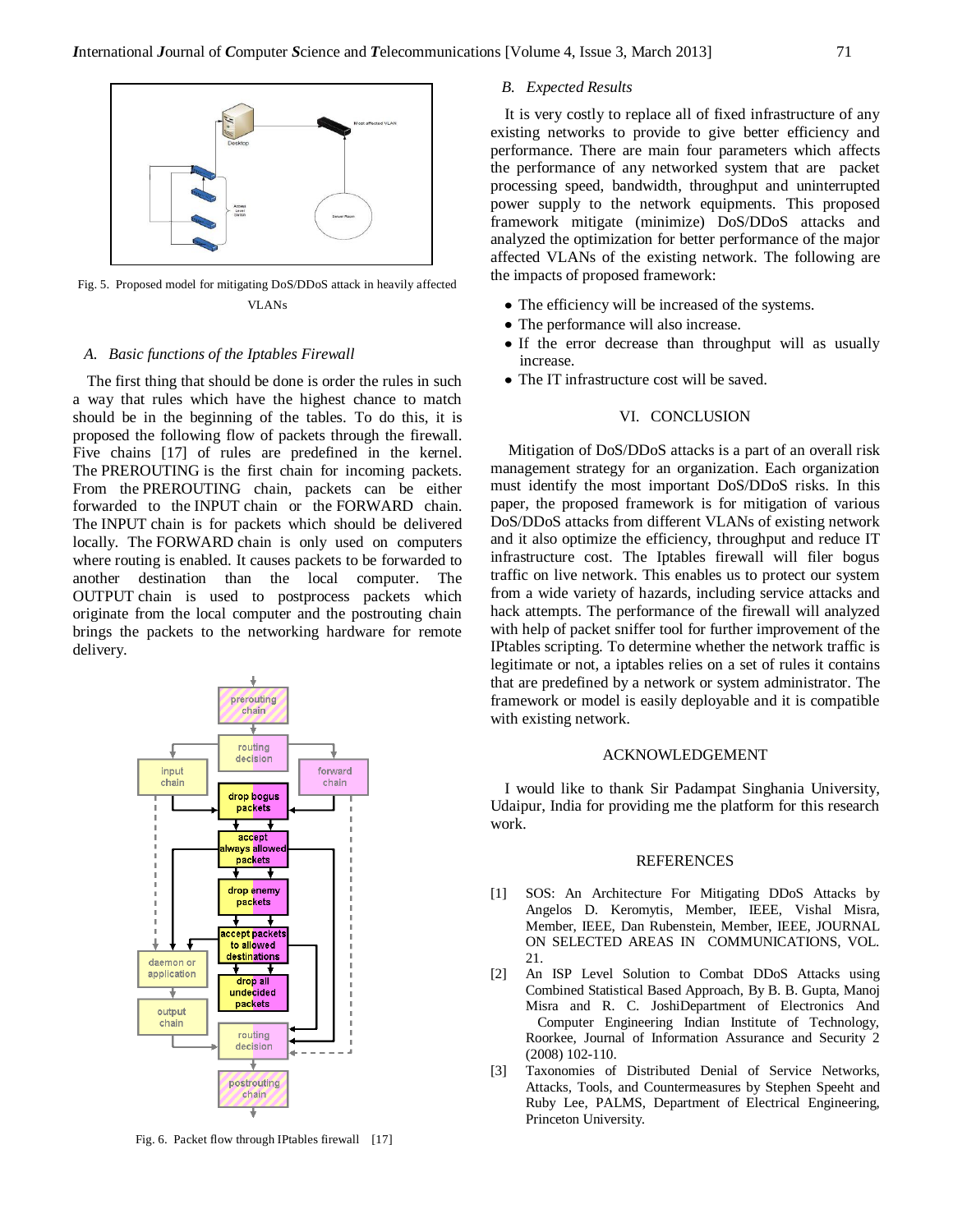

Fig. 5. Proposed model for mitigating DoS/DDoS attack in heavily affected VLANs

#### *A. Basic functions of the Iptables Firewall*

The first thing that should be done is order the rules in such a way that rules which have the highest chance to match should be in the beginning of the tables. To do this, it is proposed the following flow of packets through the firewall. Five chains [17] of rules are predefined in the kernel. The PREROUTING is the first chain for incoming packets. From the PREROUTING chain, packets can be either forwarded to the INPUT chain or the FORWARD chain. The INPUT chain is for packets which should be delivered locally. The FORWARD chain is only used on computers where routing is enabled. It causes packets to be forwarded to another destination than the local computer. The OUTPUT chain is used to postprocess packets which originate from the local computer and the postrouting chain brings the packets to the networking hardware for remote delivery.



Fig. 6. Packet flow through IPtables firewall [17]

# *B. Expected Results*

It is very costly to replace all of fixed infrastructure of any existing networks to provide to give better efficiency and performance. There are main four parameters which affects the performance of any networked system that are packet processing speed, bandwidth, throughput and uninterrupted power supply to the network equipments. This proposed framework mitigate (minimize) DoS/DDoS attacks and analyzed the optimization for better performance of the major affected VLANs of the existing network. The following are the impacts of proposed framework:

- The efficiency will be increased of the systems.
- The performance will also increase.
- If the error decrease than throughput will as usually increase.
- The IT infrastructure cost will be saved.

### VI. CONCLUSION

Mitigation of DoS/DDoS attacks is a part of an overall risk management strategy for an organization. Each organization must identify the most important DoS/DDoS risks. In this paper, the proposed framework is for mitigation of various DoS/DDoS attacks from different VLANs of existing network and it also optimize the efficiency, throughput and reduce IT infrastructure cost. The Iptables firewall will filer bogus traffic on live network. This enables us to protect our system from a wide variety of hazards, including service attacks and hack attempts. The performance of the firewall will analyzed with help of packet sniffer tool for further improvement of the IPtables scripting. To determine whether the network traffic is legitimate or not, a iptables relies on a set of rules it contains that are predefined by a network or system administrator. The framework or model is easily deployable and it is compatible with existing network.

#### ACKNOWLEDGEMENT

I would like to thank Sir Padampat Singhania University, Udaipur, India for providing me the platform for this research work.

#### **REFERENCES**

- [1] SOS: An Architecture For Mitigating DDoS Attacks by Angelos D. Keromytis, Member, IEEE, Vishal Misra, Member, IEEE, Dan Rubenstein, Member, IEEE, JOURNAL ON SELECTED AREAS IN COMMUNICATIONS, VOL. 21.
- [2] An ISP Level Solution to Combat DDoS Attacks using Combined Statistical Based Approach, By B. B. Gupta, Manoj Misra and R. C. JoshiDepartment of Electronics And Computer Engineering Indian Institute of Technology, Roorkee, Journal of Information Assurance and Security 2 (2008) 102-110.
- [3] Taxonomies of Distributed Denial of Service Networks, Attacks, Tools, and Countermeasures by Stephen Speeht and Ruby Lee, PALMS, Department of Electrical Engineering, Princeton University.